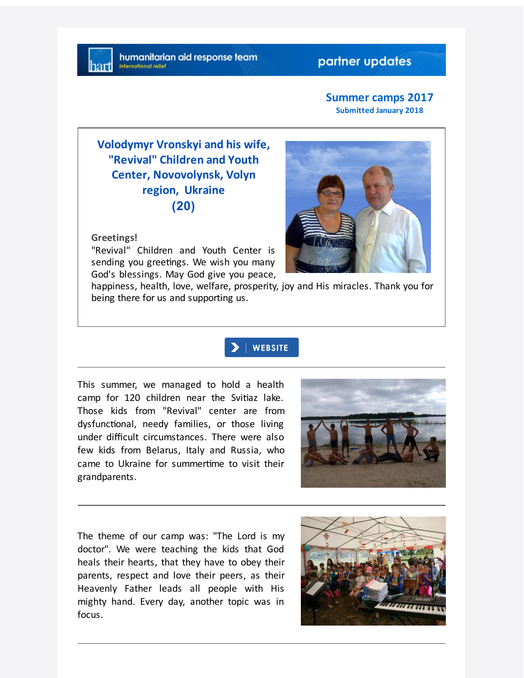### partner updates

#### **Summer camps 2017 Submitted January 2018**

# **Volodymyr Vronskyi and his wife, "Revival" Children and Youth Center, Novovolynsk, Volyn region, Ukraine (20)**

#### **Greetings!**

"Revival" Children and Youth Center is sending you greetings. We wish you many God's blessings. May God give you peace,

happiness, health, love, welfare, prosperity, joy and His miracles. Thank you for being there for us and supporting us.

## **WEBSITE**

This summer, we managed to hold a health camp for 120 children near the Svitiaz lake. Those kids from "Revival" center are from dysfunctional, needy families, or those living under difficult circumstances. There were also few kids from Belarus, Italy and Russia, who came to Ukraine for summertime to visit their grandparents.



The theme of our camp was: "The Lord is my doctor". We were teaching the kids that God heals their hearts, that they have to obey their parents, respect and love their peers, as their Heavenly Father leads all people with His mighty hand. Every day, another topic was in focus.